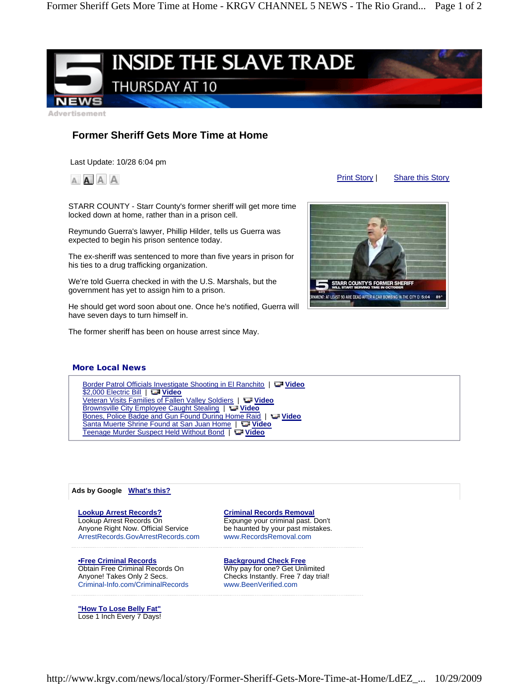

Advertisement

## **Former Sheriff Gets More Time at Home**

Last Update: 10/28 6:04 pm



STARR COUNTY - Starr County's former sheriff will get more time locked down at home, rather than in a prison cell.

Reymundo Guerra's lawyer, Phillip Hilder, tells us Guerra was expected to begin his prison sentence today.

The ex-sheriff was sentenced to more than five years in prison for his ties to a drug trafficking organization.

We're told Guerra checked in with the U.S. Marshals, but the government has yet to assign him to a prison.

He should get word soon about one. Once he's notified, Guerra will have seven days to turn himself in.

The former sheriff has been on house arrest since May.



Print Story | Share this Story

## **More Local News**

Border Patrol Officials Investigate Shooting in El Ranchito | **Video** \$2,000 Electric Bill | **Video** Veteran Visits Families of Fallen Valley Soldiers | **Video** Brownsville City Employee Caught Stealing | **Video** Bones, Police Badge and Gun Found During Home Raid | **Video** Santa Muerte Shrine Found at San Juan Home | **Video** Teenage Murder Suspect Held Without Bond | **Video**

## **Ads by Google What's this?**

**Lookup Arrest Records?** Lookup Arrest Records On Anyone Right Now. Official Service ArrestRecords.GovArrestRecords.com

**•Free Criminal Records** Obtain Free Criminal Records On Anyone! Takes Only 2 Secs. Criminal-Info.com/CriminalRecords

**"How To Lose Belly Fat"** Lose 1 Inch Every 7 Days! **Criminal Records Removal** Expunge your criminal past. Don't be haunted by your past mistakes. www.RecordsRemoval.com

**Background Check Free** Why pay for one? Get Unlimited Checks Instantly. Free 7 day trial! www.BeenVerified.com